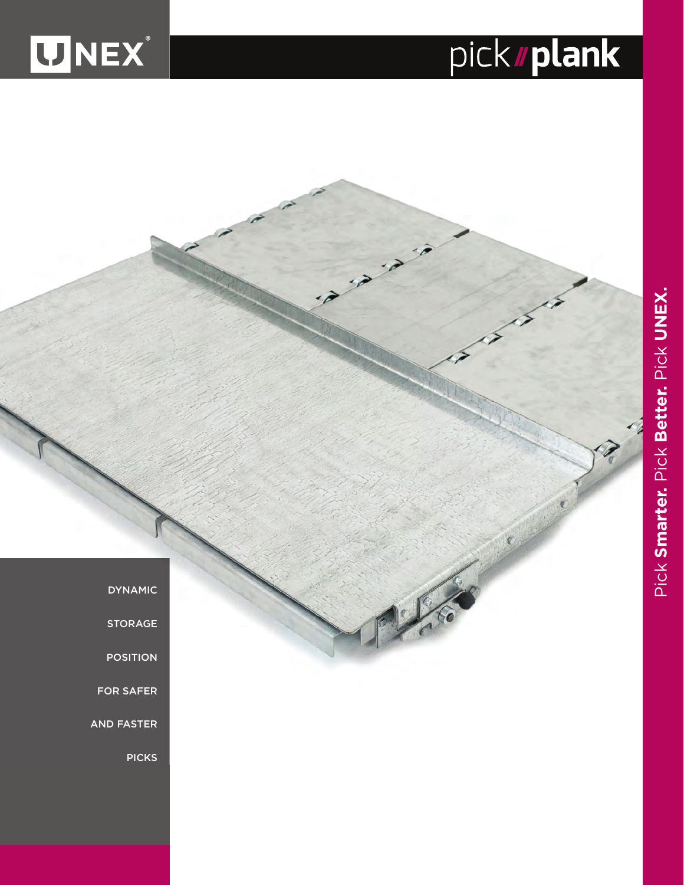

## pick**//plank**

**DYNAMIC** 

**STORAGE** 

POSITION

FOR SAFER

AND FASTER

PICKS